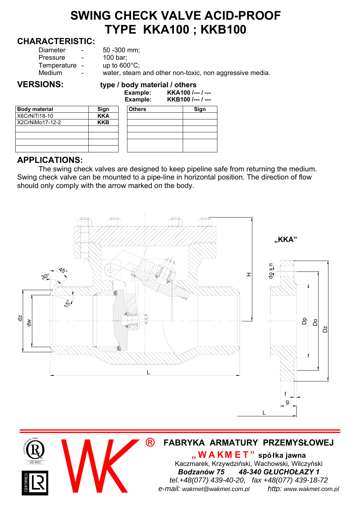## **SWING CHECK VALVE ACID-PROOF TYPE KKA100 ; KKB100**

#### **CHARACTERISTIC:**

| Diameter<br>$50 - 300$ mm;<br>$\sim$<br>100 bar;<br>Pressure<br>$\sim$<br>up to $600^{\circ}$ C;<br>Temperature -<br>water, steam and other non-toxic, non aggressive media.<br>Medium<br>$\sim$ |
|--------------------------------------------------------------------------------------------------------------------------------------------------------------------------------------------------|
|                                                                                                                                                                                                  |

# **Body material Sign Sign Constants Sign Constants Sign Constants Sign Constants Sign Constants Sign Constants Sign Constants Sign Constants Sign Constants Sign Constants Sign Constants Sign Constants Sign Constants Sign Co X6CrNiTi18-10 KKA**<br>X2CrNiMo17-12-2 KKB  $X2CrNiMo17-12-2$

|                      |            | сланре.<br>Example: | <u>MAIVU /--- / ---</u><br>KKB100 /--- / --- |
|----------------------|------------|---------------------|----------------------------------------------|
| <b>Body material</b> | Sign       | <b>Others</b>       | Sign                                         |
| X6CrNiTi18-10        | <b>KKA</b> |                     |                                              |
| X2CrNiMo17-12-2      | <b>KKB</b> |                     |                                              |
|                      |            |                     |                                              |
|                      |            |                     |                                              |

### **APPLICATIONS:**

The swing check valves are designed to keep pipeline safe from returning the medium. Swing check valve can be mounted to a pipe-line in horizontal position. The direction of flow should only comply with the arrow marked on the body.



#### **® FABRYKA ARMATURY PRZEMYSŁOWEJ**

**"WAKM ET" spółka jawna** Kaczmarek, Krzywdziński, Wachowski, Wilczyński *Bodzanów 75 48-340 GŁUCHOŁAZY 1 tel.+48(077) 439-40-20, fax +48(077) 439-18-72 e-mail: wakmet@wakmet.com.pl http: www.wakmet.com.pl*